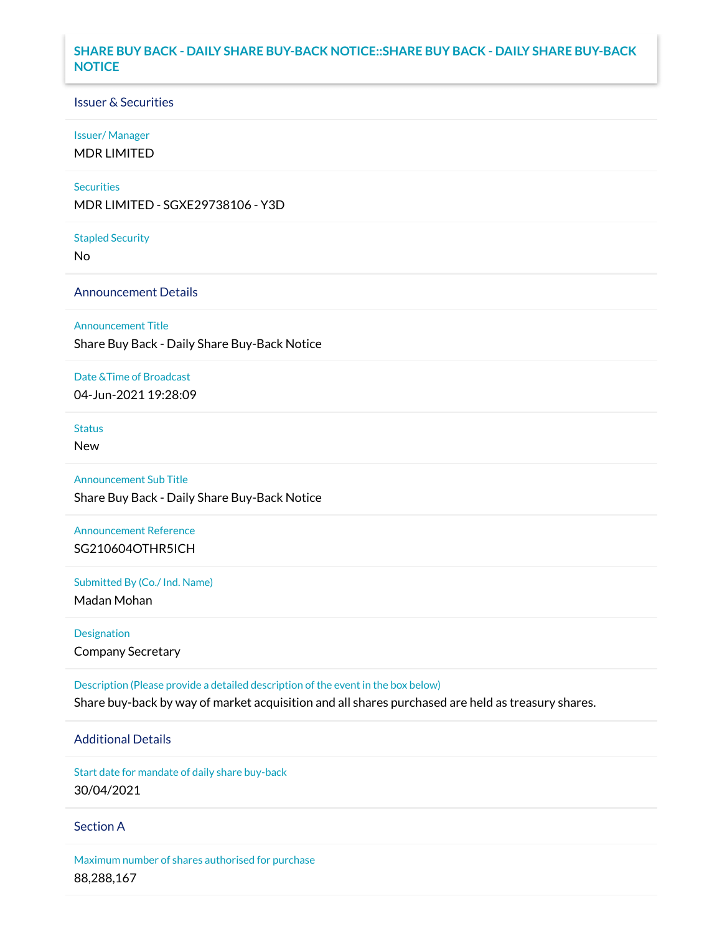# **SHARE BUY BACK - DAILY SHARE BUY-BACK NOTICE::SHARE BUY BACK - DAILY SHARE BUY-BACK NOTICE**

## Issuer & Securities

#### Issuer/ Manager

MDR LIMITED

#### **Securities**

MDR LIMITED - SGXE29738106 - Y3D

#### Stapled Security

No

# Announcement Details

#### Announcement Title

Share Buy Back - Daily Share Buy-Back Notice

### Date &Time of Broadcast

04-Jun-2021 19:28:09

# Status

New

# Announcement Sub Title

Share Buy Back - Daily Share Buy-Back Notice

# Announcement Reference SG210604OTHR5ICH

Submitted By (Co./ Ind. Name)

Madan Mohan

# Designation Company Secretary

Description (Please provide a detailed description of the event in the box below) Share buy-back by way of market acquisition and all shares purchased are held as treasury shares.

# Additional Details

Start date for mandate of daily share buy-back 30/04/2021

### Section A

Maximum number of shares authorised for purchase 88,288,167